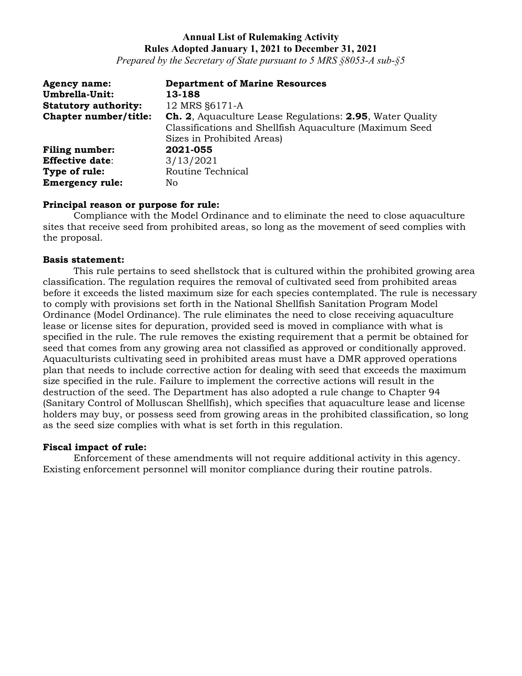*Prepared by the Secretary of State pursuant to 5 MRS §8053-A sub-§5*

| <b>Agency name:</b>         | <b>Department of Marine Resources</b>                            |
|-----------------------------|------------------------------------------------------------------|
| Umbrella-Unit:              | 13-188                                                           |
| <b>Statutory authority:</b> | 12 MRS \$6171-A                                                  |
| Chapter number/title:       | <b>Ch. 2, Aquaculture Lease Regulations: 2.95, Water Quality</b> |
|                             | Classifications and Shellfish Aquaculture (Maximum Seed          |
|                             | Sizes in Prohibited Areas)                                       |
| <b>Filing number:</b>       | 2021-055                                                         |
| <b>Effective date:</b>      | 3/13/2021                                                        |
| Type of rule:               | Routine Technical                                                |
| <b>Emergency rule:</b>      | No.                                                              |

## **Principal reason or purpose for rule:**

Compliance with the Model Ordinance and to eliminate the need to close aquaculture sites that receive seed from prohibited areas, so long as the movement of seed complies with the proposal.

## **Basis statement:**

This rule pertains to seed shellstock that is cultured within the prohibited growing area classification. The regulation requires the removal of cultivated seed from prohibited areas before it exceeds the listed maximum size for each species contemplated. The rule is necessary to comply with provisions set forth in the National Shellfish Sanitation Program Model Ordinance (Model Ordinance). The rule eliminates the need to close receiving aquaculture lease or license sites for depuration, provided seed is moved in compliance with what is specified in the rule. The rule removes the existing requirement that a permit be obtained for seed that comes from any growing area not classified as approved or conditionally approved. Aquaculturists cultivating seed in prohibited areas must have a DMR approved operations plan that needs to include corrective action for dealing with seed that exceeds the maximum size specified in the rule. Failure to implement the corrective actions will result in the destruction of the seed. The Department has also adopted a rule change to Chapter 94 (Sanitary Control of Molluscan Shellfish), which specifies that aquaculture lease and license holders may buy, or possess seed from growing areas in the prohibited classification, so long as the seed size complies with what is set forth in this regulation.

## **Fiscal impact of rule:**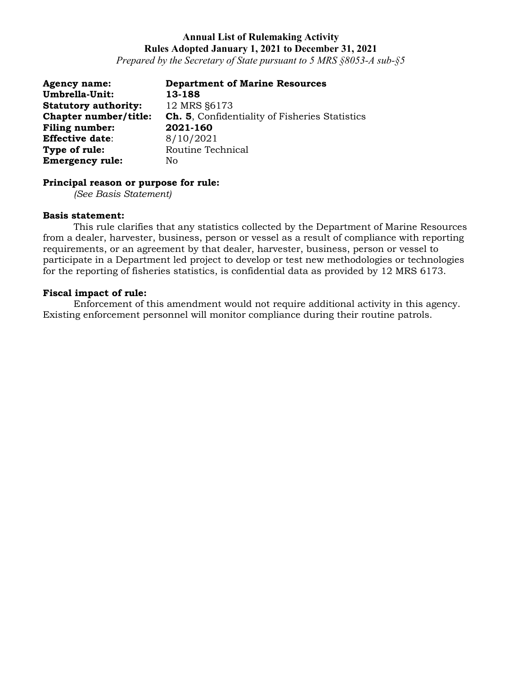*Prepared by the Secretary of State pursuant to 5 MRS §8053-A sub-§5*

| <b>Agency name:</b>         | <b>Department of Marine Resources</b>                 |
|-----------------------------|-------------------------------------------------------|
| Umbrella-Unit:              | 13-188                                                |
| <b>Statutory authority:</b> | 12 MRS §6173                                          |
| Chapter number/title:       | <b>Ch. 5.</b> Confidentiality of Fisheries Statistics |
| Filing number:              | 2021-160                                              |
| <b>Effective date:</b>      | 8/10/2021                                             |
| Type of rule:               | Routine Technical                                     |
| <b>Emergency rule:</b>      | No                                                    |

## **Principal reason or purpose for rule:**

*(See Basis Statement)* 

#### **Basis statement:**

This rule clarifies that any statistics collected by the Department of Marine Resources from a dealer, harvester, business, person or vessel as a result of compliance with reporting requirements, or an agreement by that dealer, harvester, business, person or vessel to participate in a Department led project to develop or test new methodologies or technologies for the reporting of fisheries statistics, is confidential data as provided by 12 MRS 6173.

### **Fiscal impact of rule:**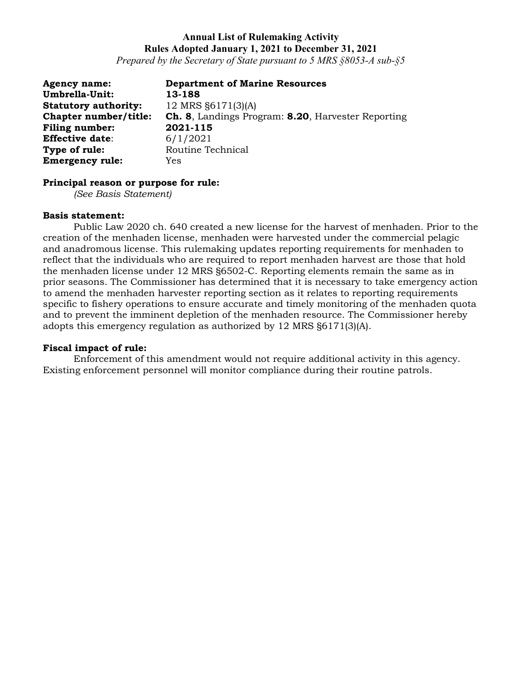*Prepared by the Secretary of State pursuant to 5 MRS §8053-A sub-§5*

| <b>Agency name:</b>         | <b>Department of Marine Resources</b>                     |
|-----------------------------|-----------------------------------------------------------|
| Umbrella-Unit:              | 13-188                                                    |
| <b>Statutory authority:</b> | 12 MRS $\S6171(3)(A)$                                     |
| Chapter number/title:       | <b>Ch. 8, Landings Program: 8.20, Harvester Reporting</b> |
| Filing number:              | 2021-115                                                  |
| <b>Effective date:</b>      | 6/1/2021                                                  |
| Type of rule:               | Routine Technical                                         |
| <b>Emergency rule:</b>      | Yes                                                       |

## **Principal reason or purpose for rule:**

*(See Basis Statement)* 

#### **Basis statement:**

Public Law 2020 ch. 640 created a new license for the harvest of menhaden. Prior to the creation of the menhaden license, menhaden were harvested under the commercial pelagic and anadromous license. This rulemaking updates reporting requirements for menhaden to reflect that the individuals who are required to report menhaden harvest are those that hold the menhaden license under 12 MRS §6502-C. Reporting elements remain the same as in prior seasons. The Commissioner has determined that it is necessary to take emergency action to amend the menhaden harvester reporting section as it relates to reporting requirements specific to fishery operations to ensure accurate and timely monitoring of the menhaden quota and to prevent the imminent depletion of the menhaden resource. The Commissioner hereby adopts this emergency regulation as authorized by 12 MRS §6171(3)(A).

#### **Fiscal impact of rule:**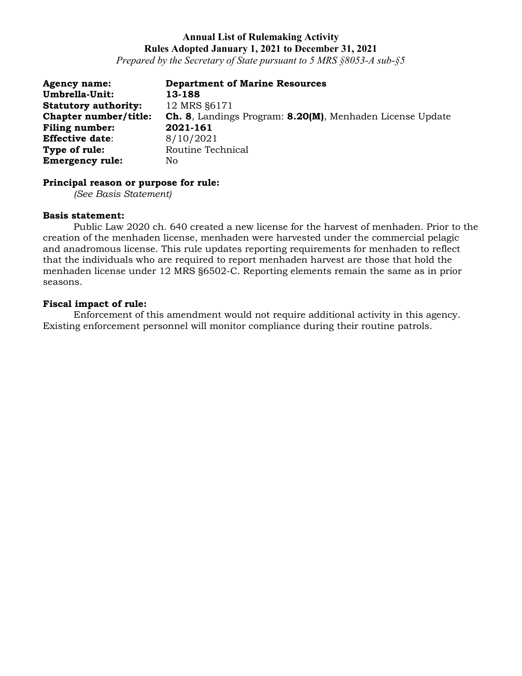*Prepared by the Secretary of State pursuant to 5 MRS §8053-A sub-§5*

| <b>Agency name:</b>         | <b>Department of Marine Resources</b>                     |
|-----------------------------|-----------------------------------------------------------|
| Umbrella-Unit:              | 13-188                                                    |
| <b>Statutory authority:</b> | 12 MRS §6171                                              |
| Chapter number/title:       | Ch. 8, Landings Program: 8.20(M), Menhaden License Update |
| Filing number:              | 2021-161                                                  |
| <b>Effective date:</b>      | 8/10/2021                                                 |
| Type of rule:               | Routine Technical                                         |
| <b>Emergency rule:</b>      | No.                                                       |

### **Principal reason or purpose for rule:**

*(See Basis Statement)* 

#### **Basis statement:**

Public Law 2020 ch. 640 created a new license for the harvest of menhaden. Prior to the creation of the menhaden license, menhaden were harvested under the commercial pelagic and anadromous license. This rule updates reporting requirements for menhaden to reflect that the individuals who are required to report menhaden harvest are those that hold the menhaden license under 12 MRS §6502-C. Reporting elements remain the same as in prior seasons.

#### **Fiscal impact of rule:**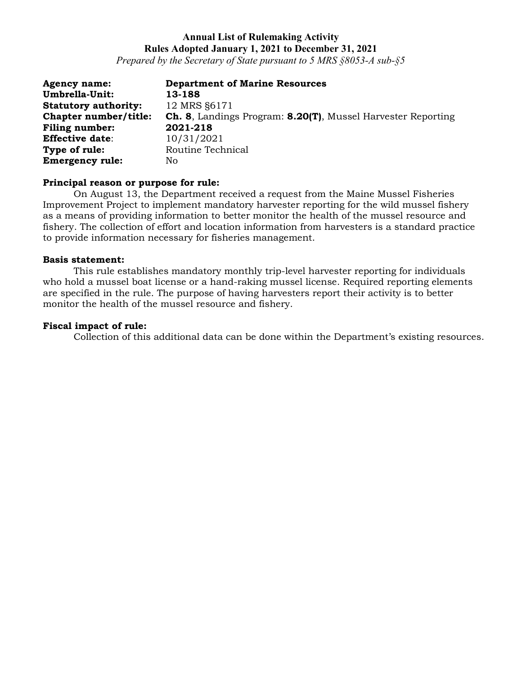*Prepared by the Secretary of State pursuant to 5 MRS §8053-A sub-§5*

| <b>Agency name:</b>         | <b>Department of Marine Resources</b>                               |
|-----------------------------|---------------------------------------------------------------------|
| Umbrella-Unit:              | 13-188                                                              |
| <b>Statutory authority:</b> | 12 MRS \$6171                                                       |
| Chapter number/title:       | <b>Ch. 8, Landings Program: 8.20(T), Mussel Harvester Reporting</b> |
| <b>Filing number:</b>       | 2021-218                                                            |
| <b>Effective date:</b>      | 10/31/2021                                                          |
| Type of rule:               | Routine Technical                                                   |
| <b>Emergency rule:</b>      | No                                                                  |

### **Principal reason or purpose for rule:**

On August 13, the Department received a request from the Maine Mussel Fisheries Improvement Project to implement mandatory harvester reporting for the wild mussel fishery as a means of providing information to better monitor the health of the mussel resource and fishery. The collection of effort and location information from harvesters is a standard practice to provide information necessary for fisheries management.

## **Basis statement:**

This rule establishes mandatory monthly trip-level harvester reporting for individuals who hold a mussel boat license or a hand-raking mussel license. Required reporting elements are specified in the rule. The purpose of having harvesters report their activity is to better monitor the health of the mussel resource and fishery.

## **Fiscal impact of rule:**

Collection of this additional data can be done within the Department's existing resources.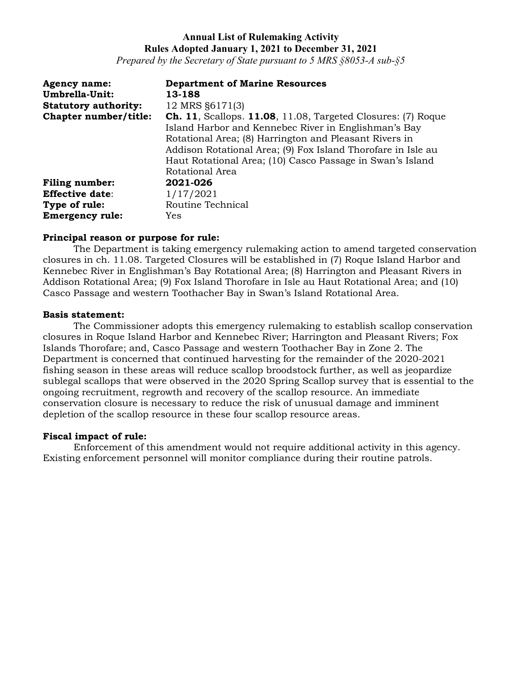*Prepared by the Secretary of State pursuant to 5 MRS §8053-A sub-§5*

| <b>Agency name:</b>         | <b>Department of Marine Resources</b>                               |
|-----------------------------|---------------------------------------------------------------------|
| Umbrella-Unit:              | 13-188                                                              |
| <b>Statutory authority:</b> | 12 MRS §6171(3)                                                     |
| Chapter number/title:       | <b>Ch. 11, Scallops. 11.08, 11.08, Targeted Closures: (7) Roque</b> |
|                             | Island Harbor and Kennebec River in Englishman's Bay                |
|                             | Rotational Area; (8) Harrington and Pleasant Rivers in              |
|                             | Addison Rotational Area; (9) Fox Island Thorofare in Isle au        |
|                             | Haut Rotational Area; (10) Casco Passage in Swan's Island           |
|                             | Rotational Area                                                     |
| <b>Filing number:</b>       | 2021-026                                                            |
| <b>Effective date:</b>      | 1/17/2021                                                           |
| Type of rule:               | Routine Technical                                                   |
| <b>Emergency rule:</b>      | Yes                                                                 |

### **Principal reason or purpose for rule:**

The Department is taking emergency rulemaking action to amend targeted conservation closures in ch. 11.08. Targeted Closures will be established in (7) Roque Island Harbor and Kennebec River in Englishman's Bay Rotational Area; (8) Harrington and Pleasant Rivers in Addison Rotational Area; (9) Fox Island Thorofare in Isle au Haut Rotational Area; and (10) Casco Passage and western Toothacher Bay in Swan's Island Rotational Area.

#### **Basis statement:**

The Commissioner adopts this emergency rulemaking to establish scallop conservation closures in Roque Island Harbor and Kennebec River; Harrington and Pleasant Rivers; Fox Islands Thorofare; and, Casco Passage and western Toothacher Bay in Zone 2. The Department is concerned that continued harvesting for the remainder of the 2020-2021 fishing season in these areas will reduce scallop broodstock further, as well as jeopardize sublegal scallops that were observed in the 2020 Spring Scallop survey that is essential to the ongoing recruitment, regrowth and recovery of the scallop resource. An immediate conservation closure is necessary to reduce the risk of unusual damage and imminent depletion of the scallop resource in these four scallop resource areas.

### **Fiscal impact of rule:**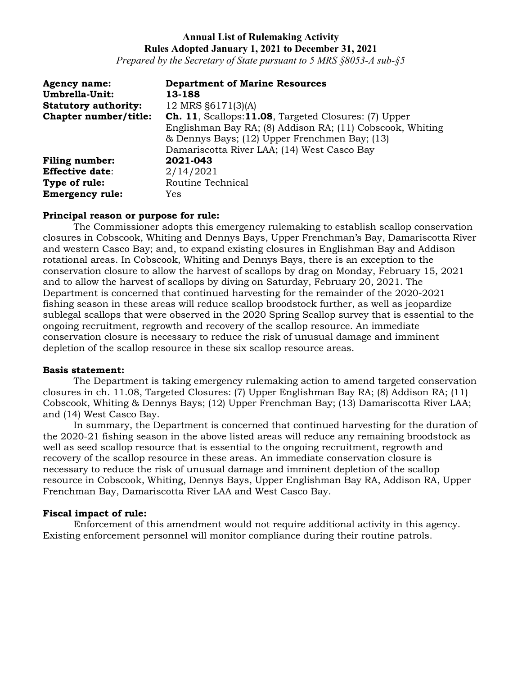*Prepared by the Secretary of State pursuant to 5 MRS §8053-A sub-§5*

| <b>Agency name:</b>         | <b>Department of Marine Resources</b>                     |
|-----------------------------|-----------------------------------------------------------|
| Umbrella-Unit:              | 13-188                                                    |
| <b>Statutory authority:</b> | 12 MRS §6171(3)(A)                                        |
| Chapter number/title:       | Ch. 11, Scallops: 11.08, Targeted Closures: (7) Upper     |
|                             | Englishman Bay RA; (8) Addison RA; (11) Cobscook, Whiting |
|                             | & Dennys Bays; (12) Upper Frenchmen Bay; (13)             |
|                             | Damariscotta River LAA; (14) West Casco Bay               |
| <b>Filing number:</b>       | 2021-043                                                  |
| <b>Effective date:</b>      | 2/14/2021                                                 |
| Type of rule:               | Routine Technical                                         |
| <b>Emergency rule:</b>      | Yes                                                       |

### **Principal reason or purpose for rule:**

The Commissioner adopts this emergency rulemaking to establish scallop conservation closures in Cobscook, Whiting and Dennys Bays, Upper Frenchman's Bay, Damariscotta River and western Casco Bay; and, to expand existing closures in Englishman Bay and Addison rotational areas. In Cobscook, Whiting and Dennys Bays, there is an exception to the conservation closure to allow the harvest of scallops by drag on Monday, February 15, 2021 and to allow the harvest of scallops by diving on Saturday, February 20, 2021. The Department is concerned that continued harvesting for the remainder of the 2020-2021 fishing season in these areas will reduce scallop broodstock further, as well as jeopardize sublegal scallops that were observed in the 2020 Spring Scallop survey that is essential to the ongoing recruitment, regrowth and recovery of the scallop resource. An immediate conservation closure is necessary to reduce the risk of unusual damage and imminent depletion of the scallop resource in these six scallop resource areas.

### **Basis statement:**

The Department is taking emergency rulemaking action to amend targeted conservation closures in ch. 11.08, Targeted Closures: (7) Upper Englishman Bay RA; (8) Addison RA; (11) Cobscook, Whiting & Dennys Bays; (12) Upper Frenchman Bay; (13) Damariscotta River LAA; and (14) West Casco Bay.

In summary, the Department is concerned that continued harvesting for the duration of the 2020-21 fishing season in the above listed areas will reduce any remaining broodstock as well as seed scallop resource that is essential to the ongoing recruitment, regrowth and recovery of the scallop resource in these areas. An immediate conservation closure is necessary to reduce the risk of unusual damage and imminent depletion of the scallop resource in Cobscook, Whiting, Dennys Bays, Upper Englishman Bay RA, Addison RA, Upper Frenchman Bay, Damariscotta River LAA and West Casco Bay.

### **Fiscal impact of rule:**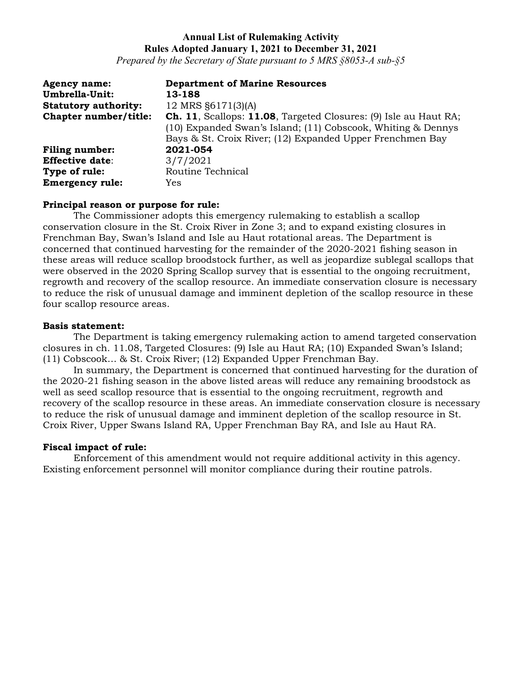*Prepared by the Secretary of State pursuant to 5 MRS §8053-A sub-§5*

| <b>Agency name:</b>          | <b>Department of Marine Resources</b>                                   |
|------------------------------|-------------------------------------------------------------------------|
| <b>Umbrella-Unit:</b>        | 13-188                                                                  |
| <b>Statutory authority:</b>  | 12 MRS $\S6171(3)(A)$                                                   |
| <b>Chapter number/title:</b> | <b>Ch. 11, Scallops: 11.08, Targeted Closures: (9) Isle au Haut RA;</b> |
|                              | $(10)$ Expanded Swan's Island; $(11)$ Cobscook, Whiting & Dennys        |
|                              | Bays & St. Croix River; (12) Expanded Upper Frenchmen Bay               |
| <b>Filing number:</b>        | 2021-054                                                                |
| <b>Effective date:</b>       | 3/7/2021                                                                |
| Type of rule:                | Routine Technical                                                       |
| <b>Emergency rule:</b>       | Yes.                                                                    |

## **Principal reason or purpose for rule:**

The Commissioner adopts this emergency rulemaking to establish a scallop conservation closure in the St. Croix River in Zone 3; and to expand existing closures in Frenchman Bay, Swan's Island and Isle au Haut rotational areas. The Department is concerned that continued harvesting for the remainder of the 2020-2021 fishing season in these areas will reduce scallop broodstock further, as well as jeopardize sublegal scallops that were observed in the 2020 Spring Scallop survey that is essential to the ongoing recruitment, regrowth and recovery of the scallop resource. An immediate conservation closure is necessary to reduce the risk of unusual damage and imminent depletion of the scallop resource in these four scallop resource areas.

## **Basis statement:**

The Department is taking emergency rulemaking action to amend targeted conservation closures in ch. 11.08, Targeted Closures: (9) Isle au Haut RA; (10) Expanded Swan's Island; (11) Cobscook… & St. Croix River; (12) Expanded Upper Frenchman Bay.

In summary, the Department is concerned that continued harvesting for the duration of the 2020-21 fishing season in the above listed areas will reduce any remaining broodstock as well as seed scallop resource that is essential to the ongoing recruitment, regrowth and recovery of the scallop resource in these areas. An immediate conservation closure is necessary to reduce the risk of unusual damage and imminent depletion of the scallop resource in St. Croix River, Upper Swans Island RA, Upper Frenchman Bay RA, and Isle au Haut RA.

## **Fiscal impact of rule:**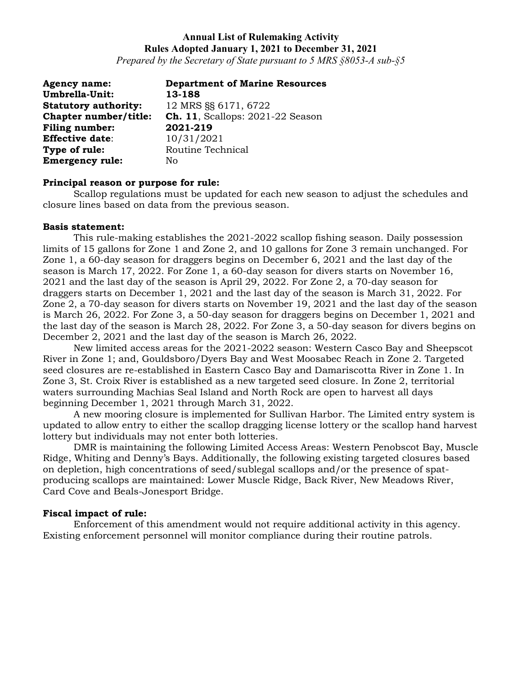*Prepared by the Secretary of State pursuant to 5 MRS §8053-A sub-§5*

| <b>Agency name:</b>         | <b>Department of Marine Resources</b>   |
|-----------------------------|-----------------------------------------|
| Umbrella-Unit:              | 13-188                                  |
| <b>Statutory authority:</b> | 12 MRS §§ 6171, 6722                    |
| Chapter number/title:       | <b>Ch. 11, Scallops: 2021-22 Season</b> |
| <b>Filing number:</b>       | 2021-219                                |
| <b>Effective date:</b>      | 10/31/2021                              |
| Type of rule:               | Routine Technical                       |
| <b>Emergency rule:</b>      | No                                      |

### **Principal reason or purpose for rule:**

Scallop regulations must be updated for each new season to adjust the schedules and closure lines based on data from the previous season.

#### **Basis statement:**

This rule-making establishes the 2021-2022 scallop fishing season. Daily possession limits of 15 gallons for Zone 1 and Zone 2, and 10 gallons for Zone 3 remain unchanged. For Zone 1, a 60-day season for draggers begins on December 6, 2021 and the last day of the season is March 17, 2022. For Zone 1, a 60-day season for divers starts on November 16, 2021 and the last day of the season is April 29, 2022. For Zone 2, a 70-day season for draggers starts on December 1, 2021 and the last day of the season is March 31, 2022. For Zone 2, a 70-day season for divers starts on November 19, 2021 and the last day of the season is March 26, 2022. For Zone 3, a 50-day season for draggers begins on December 1, 2021 and the last day of the season is March 28, 2022. For Zone 3, a 50-day season for divers begins on December 2, 2021 and the last day of the season is March 26, 2022.

New limited access areas for the 2021-2022 season: Western Casco Bay and Sheepscot River in Zone 1; and, Gouldsboro/Dyers Bay and West Moosabec Reach in Zone 2. Targeted seed closures are re-established in Eastern Casco Bay and Damariscotta River in Zone 1. In Zone 3, St. Croix River is established as a new targeted seed closure. In Zone 2, territorial waters surrounding Machias Seal Island and North Rock are open to harvest all days beginning December 1, 2021 through March 31, 2022.

A new mooring closure is implemented for Sullivan Harbor. The Limited entry system is updated to allow entry to either the scallop dragging license lottery or the scallop hand harvest lottery but individuals may not enter both lotteries.

DMR is maintaining the following Limited Access Areas: Western Penobscot Bay, Muscle Ridge, Whiting and Denny's Bays. Additionally, the following existing targeted closures based on depletion, high concentrations of seed/sublegal scallops and/or the presence of spatproducing scallops are maintained: Lower Muscle Ridge, Back River, New Meadows River, Card Cove and Beals-Jonesport Bridge.

### **Fiscal impact of rule:**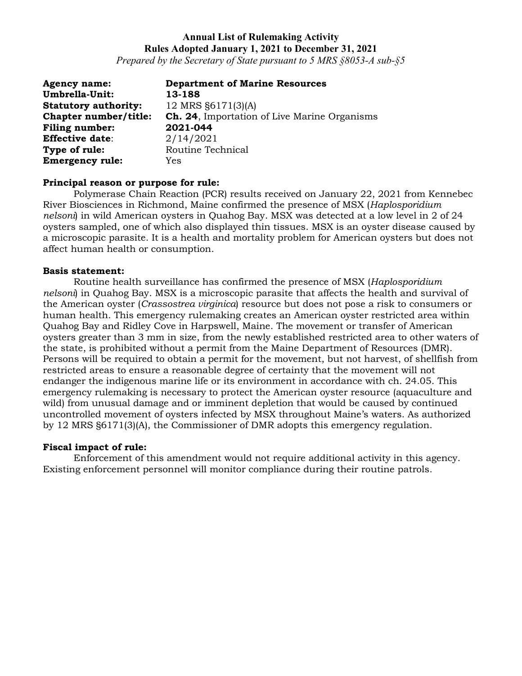*Prepared by the Secretary of State pursuant to 5 MRS §8053-A sub-§5*

| <b>Agency name:</b>         | <b>Department of Marine Resources</b>               |
|-----------------------------|-----------------------------------------------------|
| Umbrella-Unit:              | 13-188                                              |
| <b>Statutory authority:</b> | 12 MRS $\S6171(3)(A)$                               |
| Chapter number/title:       | <b>Ch. 24, Importation of Live Marine Organisms</b> |
| Filing number:              | 2021-044                                            |
| <b>Effective date:</b>      | 2/14/2021                                           |
| Type of rule:               | Routine Technical                                   |
| <b>Emergency rule:</b>      | Yes                                                 |

## **Principal reason or purpose for rule:**

Polymerase Chain Reaction (PCR) results received on January 22, 2021 from Kennebec River Biosciences in Richmond, Maine confirmed the presence of MSX (*Haplosporidium nelsoni*) in wild American oysters in Quahog Bay. MSX was detected at a low level in 2 of 24 oysters sampled, one of which also displayed thin tissues. MSX is an oyster disease caused by a microscopic parasite. It is a health and mortality problem for American oysters but does not affect human health or consumption.

## **Basis statement:**

Routine health surveillance has confirmed the presence of MSX (*Haplosporidium nelsoni*) in Quahog Bay. MSX is a microscopic parasite that affects the health and survival of the American oyster (*Crassostrea virginica*) resource but does not pose a risk to consumers or human health. This emergency rulemaking creates an American oyster restricted area within Quahog Bay and Ridley Cove in Harpswell, Maine. The movement or transfer of American oysters greater than 3 mm in size, from the newly established restricted area to other waters of the state, is prohibited without a permit from the Maine Department of Resources (DMR). Persons will be required to obtain a permit for the movement, but not harvest, of shellfish from restricted areas to ensure a reasonable degree of certainty that the movement will not endanger the indigenous marine life or its environment in accordance with ch. 24.05. This emergency rulemaking is necessary to protect the American oyster resource (aquaculture and wild) from unusual damage and or imminent depletion that would be caused by continued uncontrolled movement of oysters infected by MSX throughout Maine's waters. As authorized by 12 MRS §6171(3)(A), the Commissioner of DMR adopts this emergency regulation.

## **Fiscal impact of rule:**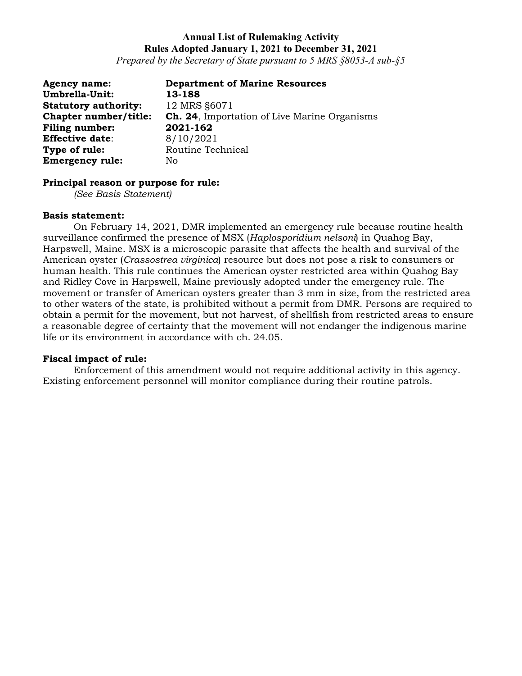*Prepared by the Secretary of State pursuant to 5 MRS §8053-A sub-§5*

| <b>Agency name:</b>         | <b>Department of Marine Resources</b>               |
|-----------------------------|-----------------------------------------------------|
| Umbrella-Unit:              | 13-188                                              |
| <b>Statutory authority:</b> | 12 MRS §6071                                        |
| Chapter number/title:       | <b>Ch. 24, Importation of Live Marine Organisms</b> |
| <b>Filing number:</b>       | 2021-162                                            |
| <b>Effective date:</b>      | 8/10/2021                                           |
| Type of rule:               | Routine Technical                                   |
| <b>Emergency rule:</b>      | No                                                  |

## **Principal reason or purpose for rule:**

*(See Basis Statement)*

#### **Basis statement:**

On February 14, 2021, DMR implemented an emergency rule because routine health surveillance confirmed the presence of MSX (*Haplosporidium nelsoni*) in Quahog Bay, Harpswell, Maine. MSX is a microscopic parasite that affects the health and survival of the American oyster (*Crassostrea virginica*) resource but does not pose a risk to consumers or human health. This rule continues the American oyster restricted area within Quahog Bay and Ridley Cove in Harpswell, Maine previously adopted under the emergency rule. The movement or transfer of American oysters greater than 3 mm in size, from the restricted area to other waters of the state, is prohibited without a permit from DMR. Persons are required to obtain a permit for the movement, but not harvest, of shellfish from restricted areas to ensure a reasonable degree of certainty that the movement will not endanger the indigenous marine life or its environment in accordance with ch. 24.05.

#### **Fiscal impact of rule:**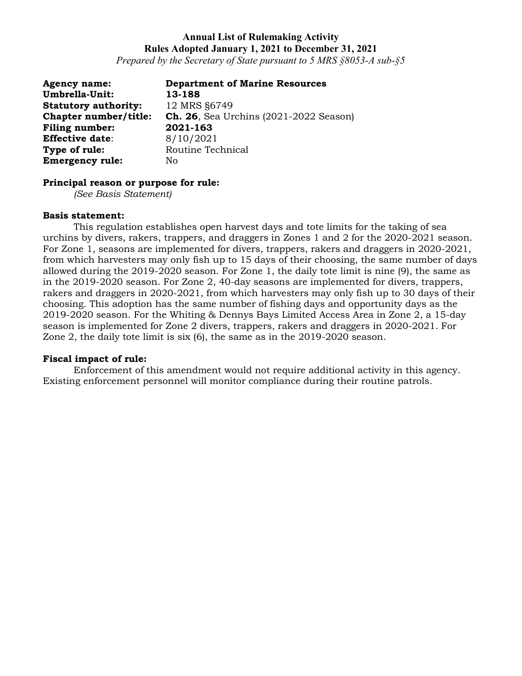*Prepared by the Secretary of State pursuant to 5 MRS §8053-A sub-§5*

| <b>Agency name:</b>         | <b>Department of Marine Resources</b>         |
|-----------------------------|-----------------------------------------------|
| Umbrella-Unit:              | 13-188                                        |
| <b>Statutory authority:</b> | 12 MRS §6749                                  |
| Chapter number/title:       | <b>Ch. 26, Sea Urchins (2021-2022 Season)</b> |
| <b>Filing number:</b>       | 2021-163                                      |
| <b>Effective date:</b>      | 8/10/2021                                     |
| Type of rule:               | Routine Technical                             |
| <b>Emergency rule:</b>      | No                                            |

## **Principal reason or purpose for rule:**

*(See Basis Statement)*

#### **Basis statement:**

This regulation establishes open harvest days and tote limits for the taking of sea urchins by divers, rakers, trappers, and draggers in Zones 1 and 2 for the 2020-2021 season. For Zone 1, seasons are implemented for divers, trappers, rakers and draggers in 2020-2021, from which harvesters may only fish up to 15 days of their choosing, the same number of days allowed during the 2019-2020 season. For Zone 1, the daily tote limit is nine (9), the same as in the 2019-2020 season. For Zone 2, 40-day seasons are implemented for divers, trappers, rakers and draggers in 2020-2021, from which harvesters may only fish up to 30 days of their choosing. This adoption has the same number of fishing days and opportunity days as the 2019-2020 season. For the Whiting & Dennys Bays Limited Access Area in Zone 2, a 15-day season is implemented for Zone 2 divers, trappers, rakers and draggers in 2020-2021. For Zone 2, the daily tote limit is six (6), the same as in the 2019-2020 season.

#### **Fiscal impact of rule:**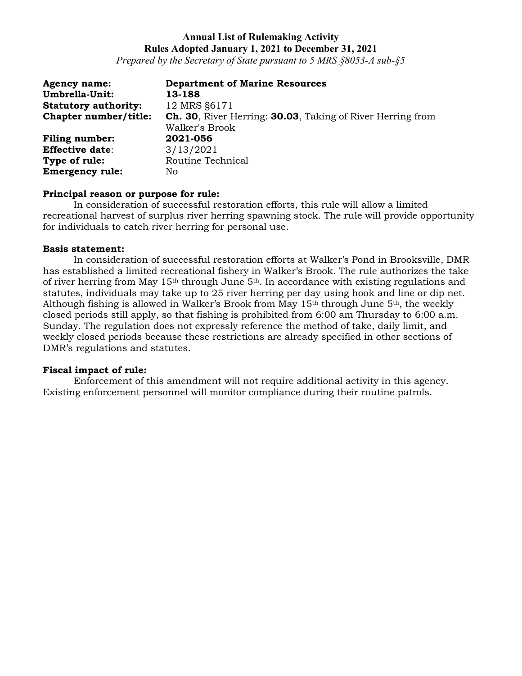*Prepared by the Secretary of State pursuant to 5 MRS §8053-A sub-§5*

| <b>Agency name:</b>         | <b>Department of Marine Resources</b>                             |
|-----------------------------|-------------------------------------------------------------------|
| Umbrella-Unit:              | 13-188                                                            |
| <b>Statutory authority:</b> | 12 MRS §6171                                                      |
| Chapter number/title:       | <b>Ch. 30, River Herring: 30.03, Taking of River Herring from</b> |
|                             | Walker's Brook                                                    |
| <b>Filing number:</b>       | 2021-056                                                          |
| <b>Effective date:</b>      | 3/13/2021                                                         |
| Type of rule:               | Routine Technical                                                 |
| <b>Emergency rule:</b>      | No                                                                |

### **Principal reason or purpose for rule:**

In consideration of successful restoration efforts, this rule will allow a limited recreational harvest of surplus river herring spawning stock. The rule will provide opportunity for individuals to catch river herring for personal use.

## **Basis statement:**

In consideration of successful restoration efforts at Walker's Pond in Brooksville, DMR has established a limited recreational fishery in Walker's Brook. The rule authorizes the take of river herring from May 15th through June 5th. In accordance with existing regulations and statutes, individuals may take up to 25 river herring per day using hook and line or dip net. Although fishing is allowed in Walker's Brook from May  $15<sup>th</sup>$  through June  $5<sup>th</sup>$ , the weekly closed periods still apply, so that fishing is prohibited from 6:00 am Thursday to 6:00 a.m. Sunday. The regulation does not expressly reference the method of take, daily limit, and weekly closed periods because these restrictions are already specified in other sections of DMR's regulations and statutes.

## **Fiscal impact of rule:**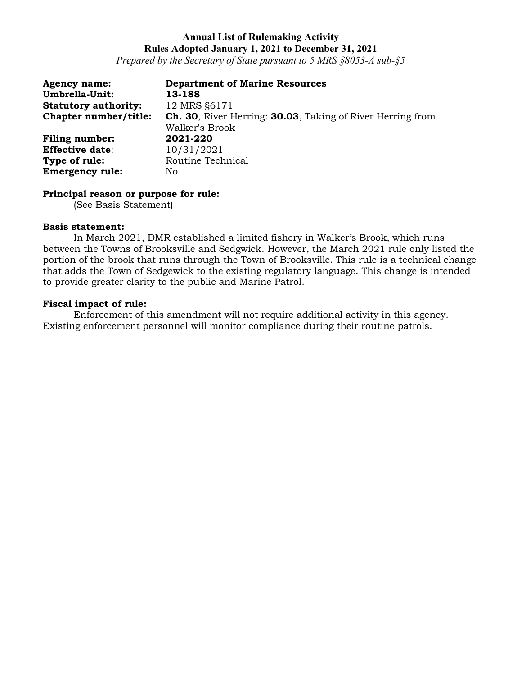*Prepared by the Secretary of State pursuant to 5 MRS §8053-A sub-§5*

| <b>Agency name:</b>         | <b>Department of Marine Resources</b>                             |
|-----------------------------|-------------------------------------------------------------------|
| Umbrella-Unit:              | 13-188                                                            |
| <b>Statutory authority:</b> | 12 MRS §6171                                                      |
| Chapter number/title:       | <b>Ch. 30, River Herring: 30.03, Taking of River Herring from</b> |
|                             | Walker's Brook                                                    |
| <b>Filing number:</b>       | 2021-220                                                          |
| <b>Effective date:</b>      | 10/31/2021                                                        |
| Type of rule:               | Routine Technical                                                 |
| <b>Emergency rule:</b>      | No                                                                |

#### **Principal reason or purpose for rule:**

(See Basis Statement)

#### **Basis statement:**

In March 2021, DMR established a limited fishery in Walker's Brook, which runs between the Towns of Brooksville and Sedgwick. However, the March 2021 rule only listed the portion of the brook that runs through the Town of Brooksville. This rule is a technical change that adds the Town of Sedgewick to the existing regulatory language. This change is intended to provide greater clarity to the public and Marine Patrol.

### **Fiscal impact of rule:**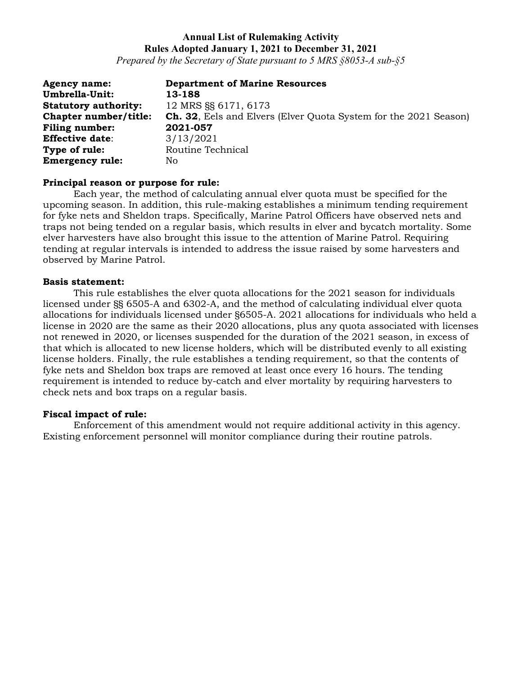*Prepared by the Secretary of State pursuant to 5 MRS §8053-A sub-§5*

| <b>Agency name:</b>         | <b>Department of Marine Resources</b>                                   |
|-----------------------------|-------------------------------------------------------------------------|
| Umbrella-Unit:              | 13-188                                                                  |
| <b>Statutory authority:</b> | 12 MRS \$ 6171, 6173                                                    |
| Chapter number/title:       | <b>Ch. 32, Eels and Elvers (Elver Quota System for the 2021 Season)</b> |
| <b>Filing number:</b>       | 2021-057                                                                |
| <b>Effective date:</b>      | 3/13/2021                                                               |
| Type of rule:               | Routine Technical                                                       |
| <b>Emergency rule:</b>      | No                                                                      |

### **Principal reason or purpose for rule:**

Each year, the method of calculating annual elver quota must be specified for the upcoming season. In addition, this rule-making establishes a minimum tending requirement for fyke nets and Sheldon traps. Specifically, Marine Patrol Officers have observed nets and traps not being tended on a regular basis, which results in elver and bycatch mortality. Some elver harvesters have also brought this issue to the attention of Marine Patrol. Requiring tending at regular intervals is intended to address the issue raised by some harvesters and observed by Marine Patrol.

#### **Basis statement:**

This rule establishes the elver quota allocations for the 2021 season for individuals licensed under §§ 6505-A and 6302-A, and the method of calculating individual elver quota allocations for individuals licensed under §6505-A. 2021 allocations for individuals who held a license in 2020 are the same as their 2020 allocations, plus any quota associated with licenses not renewed in 2020, or licenses suspended for the duration of the 2021 season, in excess of that which is allocated to new license holders, which will be distributed evenly to all existing license holders. Finally, the rule establishes a tending requirement, so that the contents of fyke nets and Sheldon box traps are removed at least once every 16 hours. The tending requirement is intended to reduce by-catch and elver mortality by requiring harvesters to check nets and box traps on a regular basis.

## **Fiscal impact of rule:**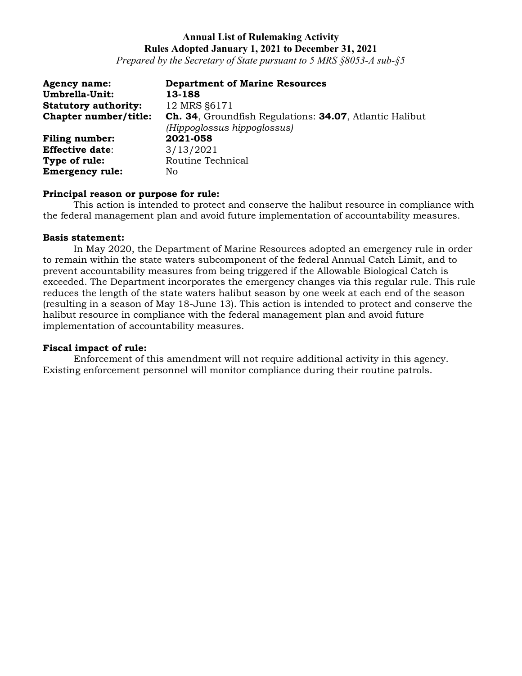*Prepared by the Secretary of State pursuant to 5 MRS §8053-A sub-§5*

| <b>Agency name:</b>         | <b>Department of Marine Resources</b>                   |
|-----------------------------|---------------------------------------------------------|
| Umbrella-Unit:              | 13-188                                                  |
| <b>Statutory authority:</b> | 12 MRS §6171                                            |
| Chapter number/title:       | Ch. 34, Groundfish Regulations: 34.07, Atlantic Halibut |
|                             | (Hippoglossus hippoglossus)                             |
| <b>Filing number:</b>       | 2021-058                                                |
| <b>Effective date:</b>      | 3/13/2021                                               |
| Type of rule:               | Routine Technical                                       |
| <b>Emergency rule:</b>      | No.                                                     |

## **Principal reason or purpose for rule:**

This action is intended to protect and conserve the halibut resource in compliance with the federal management plan and avoid future implementation of accountability measures.

## **Basis statement:**

In May 2020, the Department of Marine Resources adopted an emergency rule in order to remain within the state waters subcomponent of the federal Annual Catch Limit, and to prevent accountability measures from being triggered if the Allowable Biological Catch is exceeded. The Department incorporates the emergency changes via this regular rule. This rule reduces the length of the state waters halibut season by one week at each end of the season (resulting in a season of May 18-June 13). This action is intended to protect and conserve the halibut resource in compliance with the federal management plan and avoid future implementation of accountability measures.

### **Fiscal impact of rule:**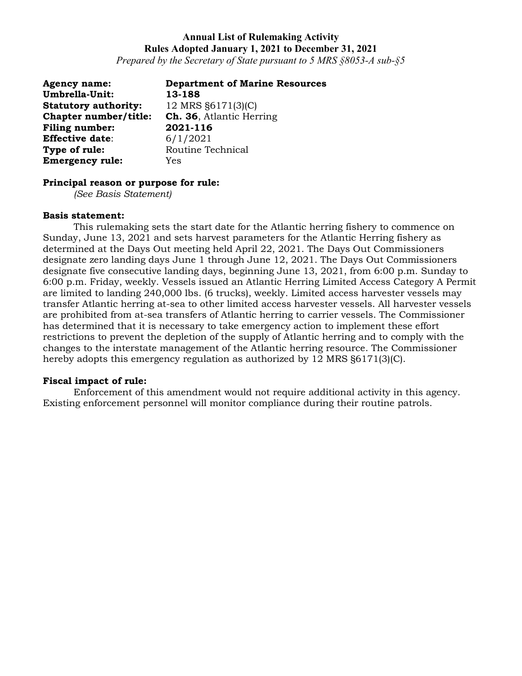*Prepared by the Secretary of State pursuant to 5 MRS §8053-A sub-§5*

| <b>Agency name:</b>         | <b>Department of Marine Resources</b> |
|-----------------------------|---------------------------------------|
| Umbrella-Unit:              | 13-188                                |
| <b>Statutory authority:</b> | 12 MRS §6171(3)(C)                    |
| Chapter number/title:       | Ch. 36, Atlantic Herring              |
| <b>Filing number:</b>       | 2021-116                              |
| <b>Effective date:</b>      | 6/1/2021                              |
| Type of rule:               | Routine Technical                     |
| <b>Emergency rule:</b>      | Yes                                   |

# **Principal reason or purpose for rule:**

*(See Basis Statement)*

#### **Basis statement:**

This rulemaking sets the start date for the Atlantic herring fishery to commence on Sunday, June 13, 2021 and sets harvest parameters for the Atlantic Herring fishery as determined at the Days Out meeting held April 22, 2021. The Days Out Commissioners designate zero landing days June 1 through June 12, 2021. The Days Out Commissioners designate five consecutive landing days, beginning June 13, 2021, from 6:00 p.m. Sunday to 6:00 p.m. Friday, weekly. Vessels issued an Atlantic Herring Limited Access Category A Permit are limited to landing 240,000 lbs. (6 trucks), weekly. Limited access harvester vessels may transfer Atlantic herring at-sea to other limited access harvester vessels. All harvester vessels are prohibited from at-sea transfers of Atlantic herring to carrier vessels. The Commissioner has determined that it is necessary to take emergency action to implement these effort restrictions to prevent the depletion of the supply of Atlantic herring and to comply with the changes to the interstate management of the Atlantic herring resource. The Commissioner hereby adopts this emergency regulation as authorized by 12 MRS §6171(3)(C).

#### **Fiscal impact of rule:**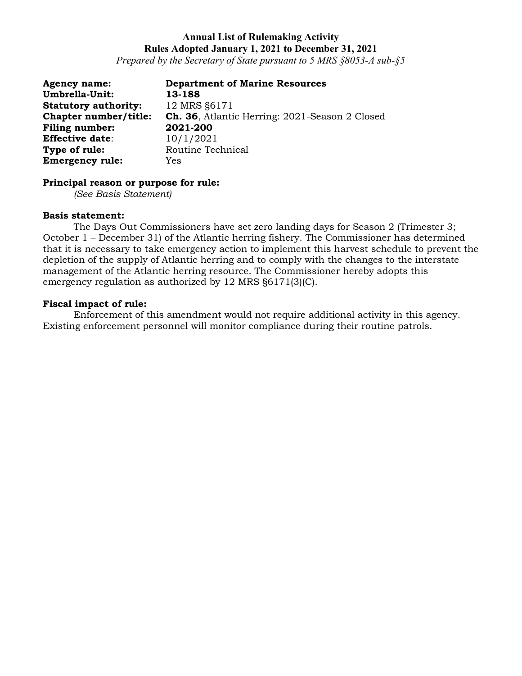*Prepared by the Secretary of State pursuant to 5 MRS §8053-A sub-§5*

| <b>Agency name:</b>         | <b>Department of Marine Resources</b>                 |
|-----------------------------|-------------------------------------------------------|
| Umbrella-Unit:              | 13-188                                                |
| <b>Statutory authority:</b> | 12 MRS \$6171                                         |
| Chapter number/title:       | <b>Ch. 36, Atlantic Herring: 2021-Season 2 Closed</b> |
| Filing number:              | 2021-200                                              |
| <b>Effective date:</b>      | 10/1/2021                                             |
| Type of rule:               | Routine Technical                                     |
| <b>Emergency rule:</b>      | Yes                                                   |

### **Principal reason or purpose for rule:**

*(See Basis Statement)*

### **Basis statement:**

The Days Out Commissioners have set zero landing days for Season 2 (Trimester 3; October 1 – December 31) of the Atlantic herring fishery. The Commissioner has determined that it is necessary to take emergency action to implement this harvest schedule to prevent the depletion of the supply of Atlantic herring and to comply with the changes to the interstate management of the Atlantic herring resource. The Commissioner hereby adopts this emergency regulation as authorized by 12 MRS §6171(3)(C).

## **Fiscal impact of rule:**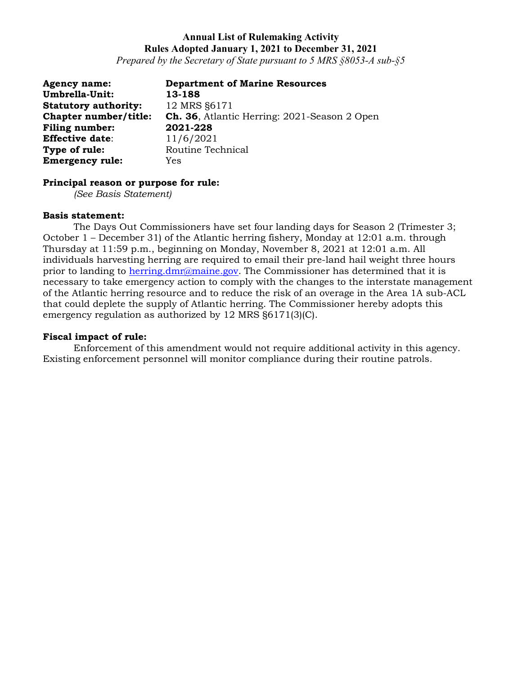*Prepared by the Secretary of State pursuant to 5 MRS §8053-A sub-§5*

| <b>Agency name:</b>         | <b>Department of Marine Resources</b>               |
|-----------------------------|-----------------------------------------------------|
| Umbrella-Unit:              | 13-188                                              |
| <b>Statutory authority:</b> | 12 MRS §6171                                        |
| Chapter number/title:       | <b>Ch. 36, Atlantic Herring: 2021-Season 2 Open</b> |
| Filing number:              | 2021-228                                            |
| <b>Effective date:</b>      | 11/6/2021                                           |
| Type of rule:               | Routine Technical                                   |
| <b>Emergency rule:</b>      | Yes                                                 |

## **Principal reason or purpose for rule:**

*(See Basis Statement)*

### **Basis statement:**

The Days Out Commissioners have set four landing days for Season 2 (Trimester 3; October 1 – December 31) of the Atlantic herring fishery, Monday at 12:01 a.m. through Thursday at 11:59 p.m., beginning on Monday, November 8, 2021 at 12:01 a.m. All individuals harvesting herring are required to email their pre-land hail weight three hours prior to landing to [herring.dmr@maine.gov.](mailto:herring.dmr@maine.gov) The Commissioner has determined that it is necessary to take emergency action to comply with the changes to the interstate management of the Atlantic herring resource and to reduce the risk of an overage in the Area 1A sub-ACL that could deplete the supply of Atlantic herring. The Commissioner hereby adopts this emergency regulation as authorized by 12 MRS §6171(3)(C).

#### **Fiscal impact of rule:**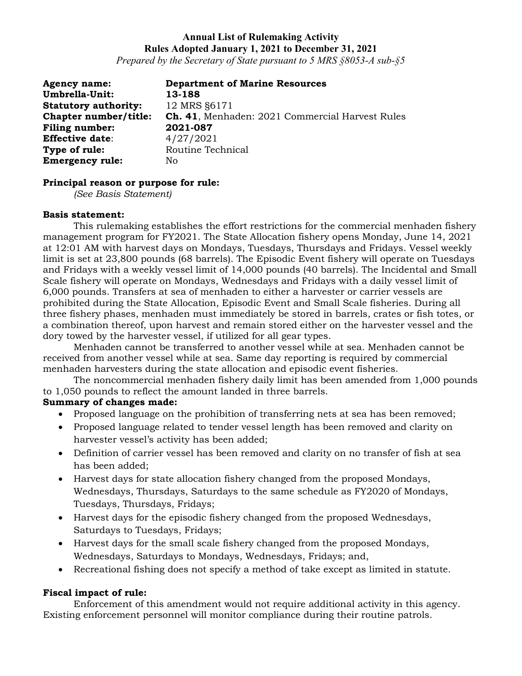*Prepared by the Secretary of State pursuant to 5 MRS §8053-A sub-§5*

| <b>Agency name:</b>         | <b>Department of Marine Resources</b>                   |
|-----------------------------|---------------------------------------------------------|
| Umbrella-Unit:              | 13-188                                                  |
| <b>Statutory authority:</b> | 12 MRS §6171                                            |
| Chapter number/title:       | <b>Ch. 41</b> , Menhaden: 2021 Commercial Harvest Rules |
| Filing number:              | 2021-087                                                |
| <b>Effective date:</b>      | 4/27/2021                                               |
| Type of rule:               | Routine Technical                                       |
| <b>Emergency rule:</b>      | No                                                      |

# **Principal reason or purpose for rule:**

*(See Basis Statement)*

## **Basis statement:**

This rulemaking establishes the effort restrictions for the commercial menhaden fishery management program for FY2021. The State Allocation fishery opens Monday, June 14, 2021 at 12:01 AM with harvest days on Mondays, Tuesdays, Thursdays and Fridays. Vessel weekly limit is set at 23,800 pounds (68 barrels). The Episodic Event fishery will operate on Tuesdays and Fridays with a weekly vessel limit of 14,000 pounds (40 barrels). The Incidental and Small Scale fishery will operate on Mondays, Wednesdays and Fridays with a daily vessel limit of 6,000 pounds. Transfers at sea of menhaden to either a harvester or carrier vessels are prohibited during the State Allocation, Episodic Event and Small Scale fisheries. During all three fishery phases, menhaden must immediately be stored in barrels, crates or fish totes, or a combination thereof, upon harvest and remain stored either on the harvester vessel and the dory towed by the harvester vessel, if utilized for all gear types.

Menhaden cannot be transferred to another vessel while at sea. Menhaden cannot be received from another vessel while at sea. Same day reporting is required by commercial menhaden harvesters during the state allocation and episodic event fisheries.

The noncommercial menhaden fishery daily limit has been amended from 1,000 pounds to 1,050 pounds to reflect the amount landed in three barrels.

## **Summary of changes made:**

- Proposed language on the prohibition of transferring nets at sea has been removed;
- Proposed language related to tender vessel length has been removed and clarity on harvester vessel's activity has been added;
- Definition of carrier vessel has been removed and clarity on no transfer of fish at sea has been added;
- Harvest days for state allocation fishery changed from the proposed Mondays, Wednesdays, Thursdays, Saturdays to the same schedule as FY2020 of Mondays, Tuesdays, Thursdays, Fridays;
- Harvest days for the episodic fishery changed from the proposed Wednesdays, Saturdays to Tuesdays, Fridays;
- Harvest days for the small scale fishery changed from the proposed Mondays, Wednesdays, Saturdays to Mondays, Wednesdays, Fridays; and,
- Recreational fishing does not specify a method of take except as limited in statute.

## **Fiscal impact of rule:**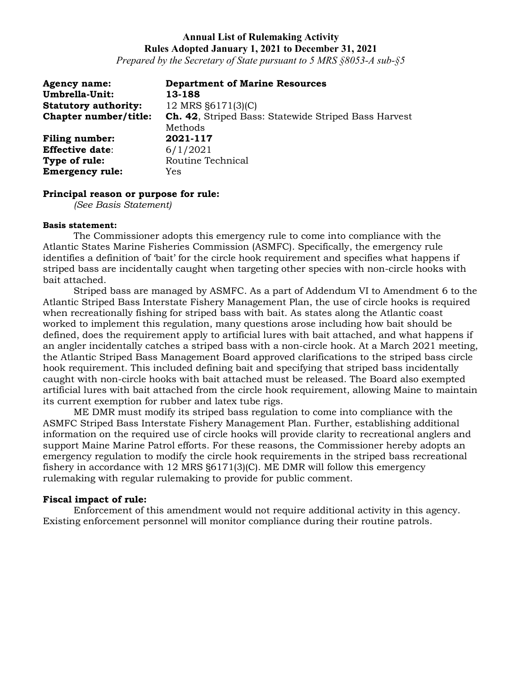*Prepared by the Secretary of State pursuant to 5 MRS §8053-A sub-§5*

| <b>Agency name:</b>         | <b>Department of Marine Resources</b>                       |
|-----------------------------|-------------------------------------------------------------|
| Umbrella-Unit:              | 13-188                                                      |
| <b>Statutory authority:</b> | 12 MRS §6171(3)(C)                                          |
| Chapter number/title:       | <b>Ch. 42, Striped Bass: Statewide Striped Bass Harvest</b> |
|                             | Methods                                                     |
| <b>Filing number:</b>       | 2021-117                                                    |
| <b>Effective date:</b>      | 6/1/2021                                                    |
| Type of rule:               | Routine Technical                                           |
| <b>Emergency rule:</b>      | Yes                                                         |

#### **Principal reason or purpose for rule:**

*(See Basis Statement)*

#### **Basis statement:**

The Commissioner adopts this emergency rule to come into compliance with the Atlantic States Marine Fisheries Commission (ASMFC). Specifically, the emergency rule identifies a definition of 'bait' for the circle hook requirement and specifies what happens if striped bass are incidentally caught when targeting other species with non-circle hooks with bait attached.

Striped bass are managed by ASMFC. As a part of Addendum VI to Amendment 6 to the Atlantic Striped Bass Interstate Fishery Management Plan, the use of circle hooks is required when recreationally fishing for striped bass with bait. As states along the Atlantic coast worked to implement this regulation, many questions arose including how bait should be defined, does the requirement apply to artificial lures with bait attached, and what happens if an angler incidentally catches a striped bass with a non-circle hook. At a March 2021 meeting, the Atlantic Striped Bass Management Board approved clarifications to the striped bass circle hook requirement. This included defining bait and specifying that striped bass incidentally caught with non-circle hooks with bait attached must be released. The Board also exempted artificial lures with bait attached from the circle hook requirement, allowing Maine to maintain its current exemption for rubber and latex tube rigs.

ME DMR must modify its striped bass regulation to come into compliance with the ASMFC Striped Bass Interstate Fishery Management Plan. Further, establishing additional information on the required use of circle hooks will provide clarity to recreational anglers and support Maine Marine Patrol efforts. For these reasons, the Commissioner hereby adopts an emergency regulation to modify the circle hook requirements in the striped bass recreational fishery in accordance with 12 MRS §6171(3)(C). ME DMR will follow this emergency rulemaking with regular rulemaking to provide for public comment.

### **Fiscal impact of rule:**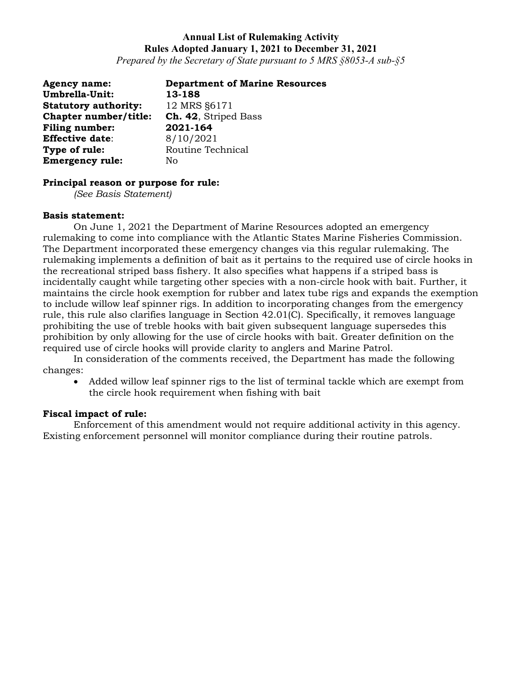*Prepared by the Secretary of State pursuant to 5 MRS §8053-A sub-§5*

| <b>Agency name:</b>         | <b>Department of Marine Resources</b> |
|-----------------------------|---------------------------------------|
| Umbrella-Unit:              | 13-188                                |
| <b>Statutory authority:</b> | 12 MRS §6171                          |
| Chapter number/title:       | Ch. 42, Striped Bass                  |
| <b>Filing number:</b>       | 2021-164                              |
| <b>Effective date:</b>      | 8/10/2021                             |
| Type of rule:               | Routine Technical                     |
| <b>Emergency rule:</b>      | No                                    |

## **Principal reason or purpose for rule:**

*(See Basis Statement)*

#### **Basis statement:**

On June 1, 2021 the Department of Marine Resources adopted an emergency rulemaking to come into compliance with the Atlantic States Marine Fisheries Commission. The Department incorporated these emergency changes via this regular rulemaking. The rulemaking implements a definition of bait as it pertains to the required use of circle hooks in the recreational striped bass fishery. It also specifies what happens if a striped bass is incidentally caught while targeting other species with a non-circle hook with bait. Further, it maintains the circle hook exemption for rubber and latex tube rigs and expands the exemption to include willow leaf spinner rigs. In addition to incorporating changes from the emergency rule, this rule also clarifies language in Section 42.01(C). Specifically, it removes language prohibiting the use of treble hooks with bait given subsequent language supersedes this prohibition by only allowing for the use of circle hooks with bait. Greater definition on the required use of circle hooks will provide clarity to anglers and Marine Patrol.

In consideration of the comments received, the Department has made the following changes:

• Added willow leaf spinner rigs to the list of terminal tackle which are exempt from the circle hook requirement when fishing with bait

#### **Fiscal impact of rule:**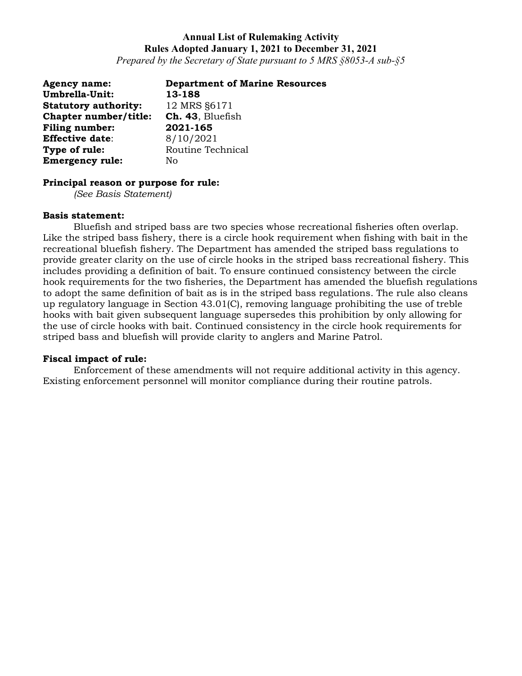*Prepared by the Secretary of State pursuant to 5 MRS §8053-A sub-§5*

| <b>Agency name:</b>         | <b>Department of Marine Resources</b> |
|-----------------------------|---------------------------------------|
| Umbrella-Unit:              | 13-188                                |
| <b>Statutory authority:</b> | 12 MRS §6171                          |
| Chapter number/title:       | Ch. 43, Bluefish                      |
| <b>Filing number:</b>       | 2021-165                              |
| <b>Effective date:</b>      | 8/10/2021                             |
| Type of rule:               | Routine Technical                     |
| <b>Emergency rule:</b>      | No                                    |

## **Principal reason or purpose for rule:**

*(See Basis Statement)*

#### **Basis statement:**

Bluefish and striped bass are two species whose recreational fisheries often overlap. Like the striped bass fishery, there is a circle hook requirement when fishing with bait in the recreational bluefish fishery. The Department has amended the striped bass regulations to provide greater clarity on the use of circle hooks in the striped bass recreational fishery. This includes providing a definition of bait. To ensure continued consistency between the circle hook requirements for the two fisheries, the Department has amended the bluefish regulations to adopt the same definition of bait as is in the striped bass regulations. The rule also cleans up regulatory language in Section 43.01(C), removing language prohibiting the use of treble hooks with bait given subsequent language supersedes this prohibition by only allowing for the use of circle hooks with bait. Continued consistency in the circle hook requirements for striped bass and bluefish will provide clarity to anglers and Marine Patrol.

#### **Fiscal impact of rule:**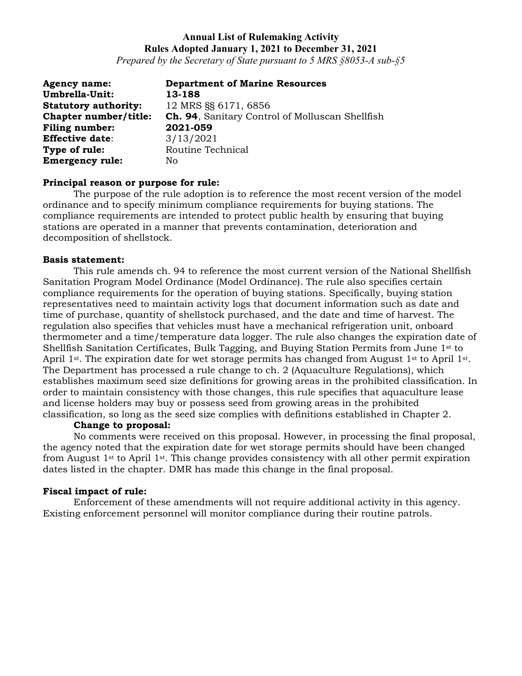*Prepared by the Secretary of State pursuant to 5 MRS §8053-A sub-§5*

| <b>Agency name:</b>         | <b>Department of Marine Resources</b>                  |
|-----------------------------|--------------------------------------------------------|
| Umbrella-Unit:              | 13-188                                                 |
| <b>Statutory authority:</b> | 12 MRS SS 6171, 6856                                   |
| Chapter number/title:       | <b>Ch. 94, Sanitary Control of Molluscan Shellfish</b> |
| Filing number:              | 2021-059                                               |
| <b>Effective date:</b>      | 3/13/2021                                              |
| Type of rule:               | Routine Technical                                      |
| <b>Emergency rule:</b>      | No                                                     |

### **Principal reason or purpose for rule:**

The purpose of the rule adoption is to reference the most recent version of the model ordinance and to specify minimum compliance requirements for buying stations. The compliance requirements are intended to protect public health by ensuring that buying stations are operated in a manner that prevents contamination, deterioration and decomposition of shellstock.

#### **Basis statement:**

This rule amends ch. 94 to reference the most current version of the National Shellfish Sanitation Program Model Ordinance (Model Ordinance). The rule also specifies certain compliance requirements for the operation of buying stations. Specifically, buying station representatives need to maintain activity logs that document information such as date and time of purchase, quantity of shellstock purchased, and the date and time of harvest. The regulation also specifies that vehicles must have a mechanical refrigeration unit, onboard thermometer and a time/temperature data logger. The rule also changes the expiration date of Shellfish Sanitation Certificates, Bulk Tagging, and Buying Station Permits from June 1st to April 1<sup>st</sup>. The expiration date for wet storage permits has changed from August 1<sup>st</sup> to April 1<sup>st</sup>. The Department has processed a rule change to ch. 2 (Aquaculture Regulations), which establishes maximum seed size definitions for growing areas in the prohibited classification. In order to maintain consistency with those changes, this rule specifies that aquaculture lease and license holders may buy or possess seed from growing areas in the prohibited classification, so long as the seed size complies with definitions established in Chapter 2.

## **Change to proposal:**

No comments were received on this proposal. However, in processing the final proposal, the agency noted that the expiration date for wet storage permits should have been changed from August 1st to April 1st. This change provides consistency with all other permit expiration dates listed in the chapter. DMR has made this change in the final proposal.

### **Fiscal impact of rule:**